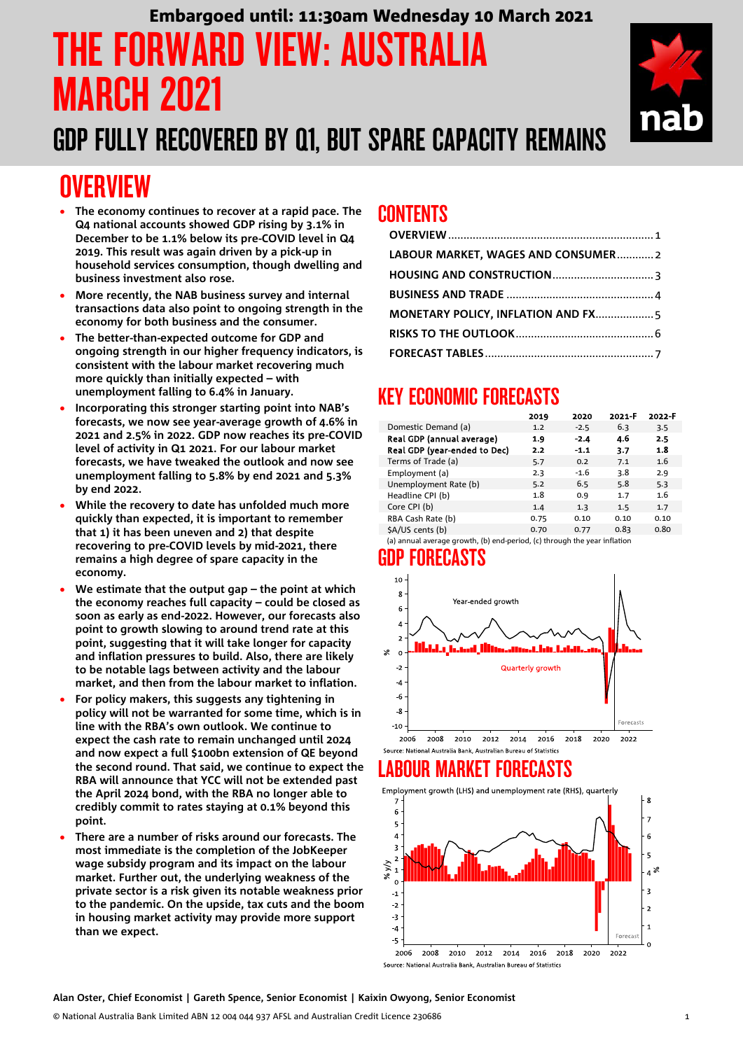# THE FORWARD VIEW: AUSTRALIA MARCH 2021 Embargoed until: 11:30am Wednesday 10 March 2021

## GDP FULLY RECOVERED BY Q1, BUT SPARE CAPACITY REMAINS

## <span id="page-0-0"></span>**OVERVIEW**

- **The economy continues to recover at a rapid pace. The Q4 national accounts showed GDP rising by 3.1% in December to be 1.1% below its pre-COVID level in Q4 2019. This result was again driven by a pick-up in household services consumption, though dwelling and business investment also rose.**
- **More recently, the NAB business survey and internal transactions data also point to ongoing strength in the economy for both business and the consumer.**
- **The better-than-expected outcome for GDP and ongoing strength in our higher frequency indicators, is consistent with the labour market recovering much more quickly than initially expected – with unemployment falling to 6.4% in January.**
- **Incorporating this stronger starting point into NAB's forecasts, we now see year-average growth of 4.6% in 2021 and 2.5% in 2022. GDP now reaches its pre-COVID level of activity in Q1 2021. For our labour market forecasts, we have tweaked the outlook and now see unemployment falling to 5.8% by end 2021 and 5.3% by end 2022.**
- **While the recovery to date has unfolded much more quickly than expected, it is important to remember that 1) it has been uneven and 2) that despite recovering to pre-COVID levels by mid-2021, there remains a high degree of spare capacity in the economy.**
- **We estimate that the output gap – the point at which the economy reaches full capacity – could be closed as soon as early as end-2022. However, our forecasts also point to growth slowing to around trend rate at this point, suggesting that it will take longer for capacity and inflation pressures to build. Also, there are likely to be notable lags between activity and the labour market, and then from the labour market to inflation.**
- **For policy makers, this suggests any tightening in policy will not be warranted for some time, which is in line with the RBA's own outlook. We continue to expect the cash rate to remain unchanged until 2024 and now expect a full \$100bn extension of QE beyond the second round. That said, we continue to expect the RBA will announce that YCC will not be extended past the April 2024 bond, with the RBA no longer able to credibly commit to rates staying at 0.1% beyond this point.**
- **There are a number of risks around our forecasts. The most immediate is the completion of the JobKeeper wage subsidy program and its impact on the labour market. Further out, the underlying weakness of the private sector is a risk given its notable weakness prior to the pandemic. On the upside, tax cuts and the boom in housing market activity may provide more support than we expect.**

## CONTENTS

| LABOUR MARKET, WAGES AND CONSUMER2 |  |
|------------------------------------|--|
|                                    |  |
|                                    |  |
|                                    |  |
|                                    |  |
|                                    |  |

## KEY ECONOMIC FORECASTS

|                              | 2019 | 2020   | 2021-F | 2022-F |
|------------------------------|------|--------|--------|--------|
| Domestic Demand (a)          | 1.2  | $-2.5$ | 6.3    | 3.5    |
| Real GDP (annual average)    | 1.9  | $-2.4$ | 4.6    | 2.5    |
| Real GDP (year-ended to Dec) | 2.2  | $-1.1$ | 3.7    | 1.8    |
| Terms of Trade (a)           | 5.7  | 0.2    | 7.1    | 1.6    |
| Employment (a)               | 2.3  | $-1.6$ | 3.8    | 2.9    |
| Unemployment Rate (b)        | 5.2  | 6.5    | 5.8    | 5.3    |
| Headline CPI (b)             | 1.8  | 0.9    | 1.7    | 1.6    |
| Core CPI (b)                 | 1.4  | 1.3    | 1.5    | 1.7    |
| RBA Cash Rate (b)            | 0.75 | 0.10   | 0.10   | 0.10   |
| \$A/US cents (b)             | 0.70 | 0.77   | 0.83   | 0.80   |
|                              |      |        |        |        |

(a) annual average growth, (b) end-period, (c) through the year inflation

## GDP FORECASTS



## LARNIIR MARKET FOREC*i*

Employment growth (LHS) and unemployment rate (RHS), quarterly



**Alan Oster, Chief Economist | Gareth Spence, Senior Economist | Kaixin Owyong, Senior Economist**

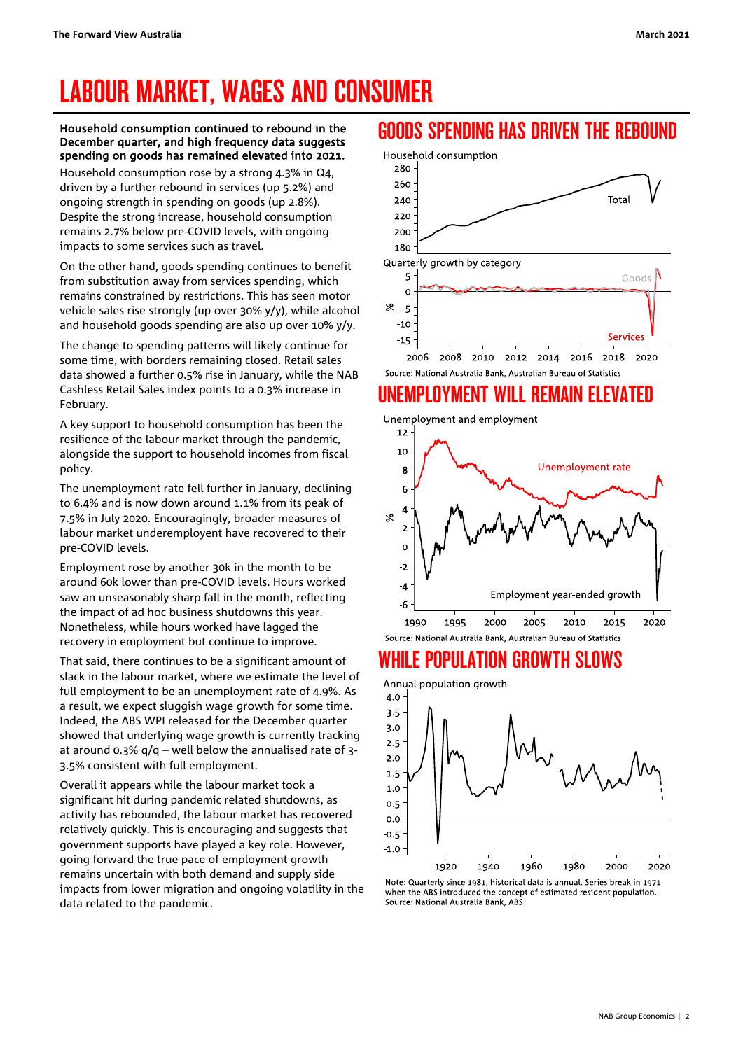# <span id="page-1-0"></span>LABOUR MARKET, WAGES AND CONSUMER

#### Household consumption continued to rebound in the December quarter, and high frequency data suggests spending on goods has remained elevated into 2021.

Household consumption rose by a strong 4.3% in Q4, driven by a further rebound in services (up 5.2%) and ongoing strength in spending on goods (up 2.8%). Despite the strong increase, household consumption remains 2.7% below pre-COVID levels, with ongoing impacts to some services such as travel.

On the other hand, goods spending continues to benefit from substitution away from services spending, which remains constrained by restrictions. This has seen motor vehicle sales rise strongly (up over 30% y/y), while alcohol and household goods spending are also up over 10% y/y.

The change to spending patterns will likely continue for some time, with borders remaining closed. Retail sales data showed a further 0.5% rise in January, while the NAB Cashless Retail Sales index points to a 0.3% increase in February.

A key support to household consumption has been the resilience of the labour market through the pandemic, alongside the support to household incomes from fiscal policy.

The unemployment rate fell further in January, declining to 6.4% and is now down around 1.1% from its peak of 7.5% in July 2020. Encouragingly, broader measures of labour market underemployent have recovered to their pre-COVID levels.

Employment rose by another 30k in the month to be around 60k lower than pre-COVID levels. Hours worked saw an unseasonably sharp fall in the month, reflecting the impact of ad hoc business shutdowns this year. Nonetheless, while hours worked have lagged the recovery in employment but continue to improve.

That said, there continues to be a significant amount of slack in the labour market, where we estimate the level of full employment to be an unemployment rate of 4.9%. As a result, we expect sluggish wage growth for some time. Indeed, the ABS WPI released for the December quarter showed that underlying wage growth is currently tracking at around 0.3%  $q/q$  – well below the annualised rate of 3-3.5% consistent with full employment.

Overall it appears while the labour market took a significant hit during pandemic related shutdowns, as activity has rebounded, the labour market has recovered relatively quickly. This is encouraging and suggests that government supports have played a key role. However, going forward the true pace of employment growth remains uncertain with both demand and supply side impacts from lower migration and ongoing volatility in the data related to the pandemic.

### GOODS SPENDING HAS DRIVEN THE REBOUND



## UNEMPLOYMENT WILL REMAIN ELEVATED



### WHILE POPIII ATION GROWTH SLOWS



Note: Quarterly since 1981, historical data is annual. Series break in 1971 when the ABS introduced the concept of estimated resident population. Source: National Australia Bank, ABS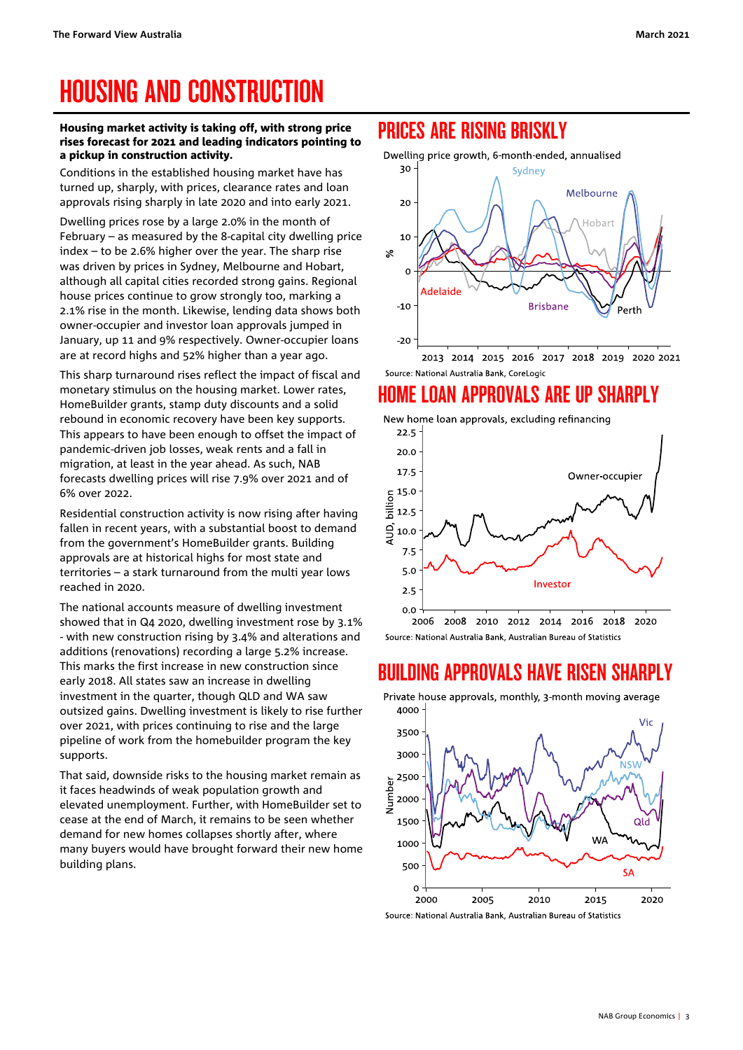# <span id="page-2-0"></span>HOUSING AND CONSTRUCTION

#### Housing market activity is taking off, with strong price rises forecast for 2021 and leading indicators pointing to a pickup in construction activity.

Conditions in the established housing market have has turned up, sharply, with prices, clearance rates and loan approvals rising sharply in late 2020 and into early 2021.

Dwelling prices rose by a large 2.0% in the month of February – as measured by the 8-capital city dwelling price index – to be 2.6% higher over the year. The sharp rise was driven by prices in Sydney, Melbourne and Hobart, although all capital cities recorded strong gains. Regional house prices continue to grow strongly too, marking a 2.1% rise in the month. Likewise, lending data shows both owner-occupier and investor loan approvals jumped in January, up 11 and 9% respectively. Owner-occupier loans are at record highs and 52% higher than a year ago.

This sharp turnaround rises reflect the impact of fiscal and monetary stimulus on the housing market. Lower rates, HomeBuilder grants, stamp duty discounts and a solid rebound in economic recovery have been key supports. This appears to have been enough to offset the impact of pandemic-driven job losses, weak rents and a fall in migration, at least in the year ahead. As such, NAB forecasts dwelling prices will rise 7.9% over 2021 and of 6% over 2022.

Residential construction activity is now rising after having fallen in recent years, with a substantial boost to demand from the government's HomeBuilder grants. Building approvals are at historical highs for most state and territories – a stark turnaround from the multi year lows reached in 2020.

The national accounts measure of dwelling investment showed that in Q4 2020, dwelling investment rose by 3.1% - with new construction rising by 3.4% and alterations and additions (renovations) recording a large 5.2% increase. This marks the first increase in new construction since early 2018. All states saw an increase in dwelling investment in the quarter, though QLD and WA saw outsized gains. Dwelling investment is likely to rise further over 2021, with prices continuing to rise and the large pipeline of work from the homebuilder program the key supports.

That said, downside risks to the housing market remain as it faces headwinds of weak population growth and elevated unemployment. Further, with HomeBuilder set to cease at the end of March, it remains to be seen whether demand for new homes collapses shortly after, where many buyers would have brought forward their new home building plans.

## PRICES ARE RISING BRISKLY

Dwelling price growth, 6-month-ended, annualised



Source: National Australia Bank, CoreLogic

## HOME LOAN APPROVALS ARE UP SHARPLY



### BUILDING APPROVALS HAVE RISEN SHARPLY



Private house approvals, monthly, 3-month moving average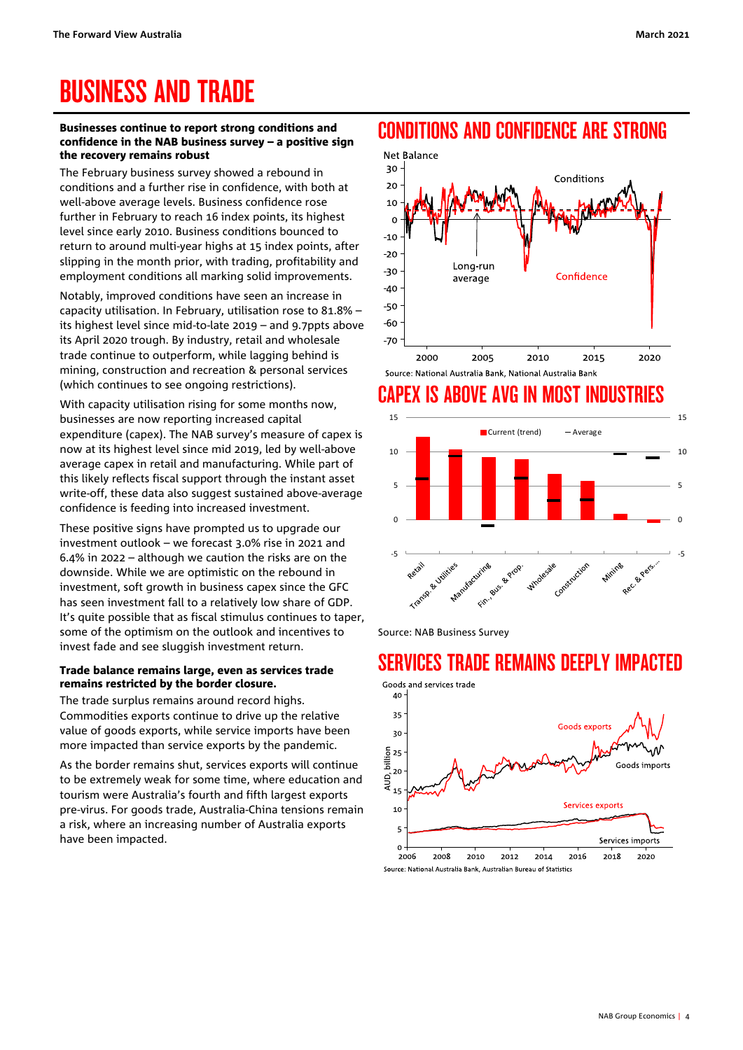## <span id="page-3-0"></span>BUSINESS AND TRADE

#### Businesses continue to report strong conditions and confidence in the NAB business survey – a positive sign the recovery remains robust

The February business survey showed a rebound in conditions and a further rise in confidence, with both at well-above average levels. Business confidence rose further in February to reach 16 index points, its highest level since early 2010. Business conditions bounced to return to around multi-year highs at 15 index points, after slipping in the month prior, with trading, profitability and employment conditions all marking solid improvements.

Notably, improved conditions have seen an increase in capacity utilisation. In February, utilisation rose to 81.8% – its highest level since mid-to-late 2019 – and 9.7ppts above its April 2020 trough. By industry, retail and wholesale trade continue to outperform, while lagging behind is mining, construction and recreation & personal services (which continues to see ongoing restrictions).

With capacity utilisation rising for some months now, businesses are now reporting increased capital expenditure (capex). The NAB survey's measure of capex is now at its highest level since mid 2019, led by well-above average capex in retail and manufacturing. While part of this likely reflects fiscal support through the instant asset write-off, these data also suggest sustained above-average confidence is feeding into increased investment.

These positive signs have prompted us to upgrade our investment outlook – we forecast 3.0% rise in 2021 and 6.4% in 2022 – although we caution the risks are on the downside. While we are optimistic on the rebound in investment, soft growth in business capex since the GFC has seen investment fall to a relatively low share of GDP. It's quite possible that as fiscal stimulus continues to taper, some of the optimism on the outlook and incentives to invest fade and see sluggish investment return.

#### Trade balance remains large, even as services trade remains restricted by the border closure.

The trade surplus remains around record highs. Commodities exports continue to drive up the relative value of goods exports, while service imports have been more impacted than service exports by the pandemic.

As the border remains shut, services exports will continue to be extremely weak for some time, where education and tourism were Australia's fourth and fifth largest exports pre-virus. For goods trade, Australia-China tensions remain a risk, where an increasing number of Australia exports have been impacted.





## CAPEX IS ABOVE AVG IN MOST IND



Source: NAB Business Survey

### SERVICES TRADE REMAINS DEEPLY IMPACTED

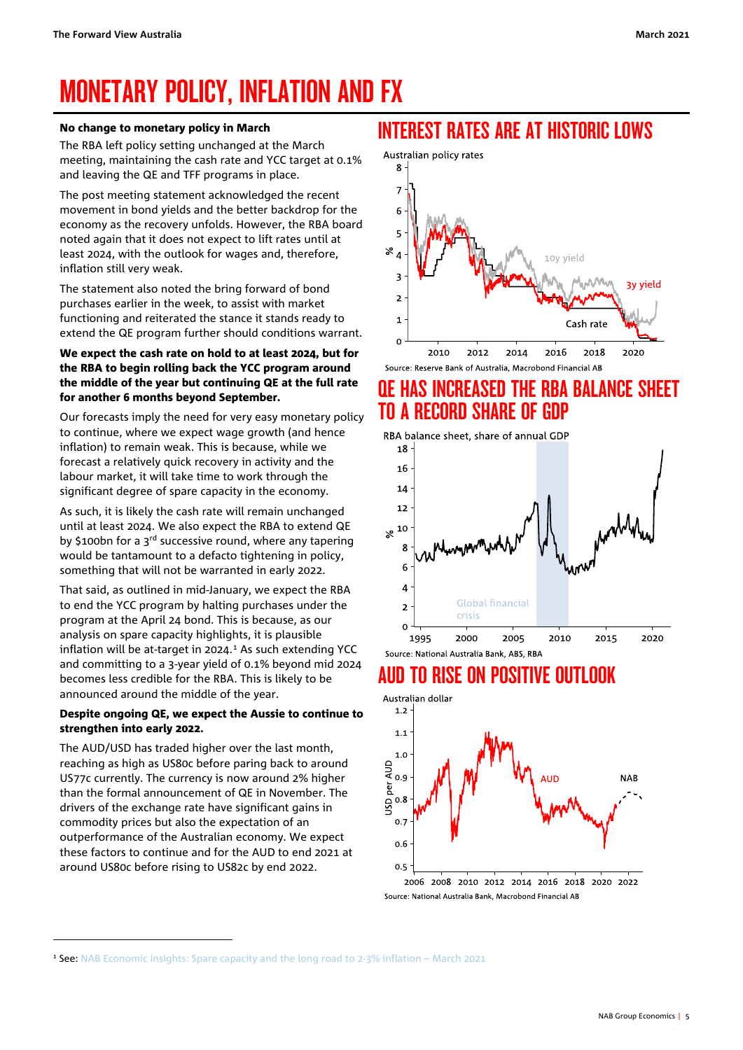# <span id="page-4-0"></span>MONETARY POLICY, INFLATION AND FX

#### No change to monetary policy in March

The RBA left policy setting unchanged at the March meeting, maintaining the cash rate and YCC target at 0.1% and leaving the QE and TFF programs in place.

The post meeting statement acknowledged the recent movement in bond yields and the better backdrop for the economy as the recovery unfolds. However, the RBA board noted again that it does not expect to lift rates until at least 2024, with the outlook for wages and, therefore, inflation still very weak.

The statement also noted the bring forward of bond purchases earlier in the week, to assist with market functioning and reiterated the stance it stands ready to extend the QE program further should conditions warrant.

#### We expect the cash rate on hold to at least 2024, but for the RBA to begin rolling back the YCC program around the middle of the year but continuing QE at the full rate for another 6 months beyond September.

Our forecasts imply the need for very easy monetary policy to continue, where we expect wage growth (and hence inflation) to remain weak. This is because, while we forecast a relatively quick recovery in activity and the labour market, it will take time to work through the significant degree of spare capacity in the economy.

As such, it is likely the cash rate will remain unchanged until at least 2024. We also expect the RBA to extend QE by \$100bn for a  $3<sup>rd</sup>$  successive round, where any tapering would be tantamount to a defacto tightening in policy, something that will not be warranted in early 2022.

That said, as outlined in mid-January, we expect the RBA to end the YCC program by halting purchases under the program at the April 24 bond. This is because, as our analysis on spare capacity highlights, it is plausible inflation will be at-target in 2024. $1$  As such extending YCC and committing to a 3-year yield of 0.1% beyond mid 2024 becomes less credible for the RBA. This is likely to be announced around the middle of the year.

#### Despite ongoing QE, we expect the Aussie to continue to strengthen into early 2022.

The AUD/USD has traded higher over the last month, reaching as high as US80c before paring back to around US77c currently. The currency is now around 2% higher than the formal announcement of QE in November. The drivers of the exchange rate have significant gains in commodity prices but also the expectation of an outperformance of the Australian economy. We expect these factors to continue and for the AUD to end 2021 at around US80c before rising to US82c by end 2022.

### INTEREST RATES ARE AT HISTORIC LOWS



## QE HAS INCREASED THE RBA BALANCE SHEET TO A RECORD SHARE OF GDP

RBA balance sheet, share of annual GDP



## AUD TO RISE ON POSITIVE OUTLOOK



Source: National Australia Bank, Macrobond Financial AB

<span id="page-4-1"></span><sup>1</sup> See: [NAB Economic Insights: Spare capacity and the long road to 2-3% inflation –](https://click.research.nab.com.au/?qs=d843cc4909264cf29965f441ddd0f03dae4a502c1f700c60980f77fa9546d983eb48e5cc175091911dfb430e3245f9668023eecb13e40604) March 2021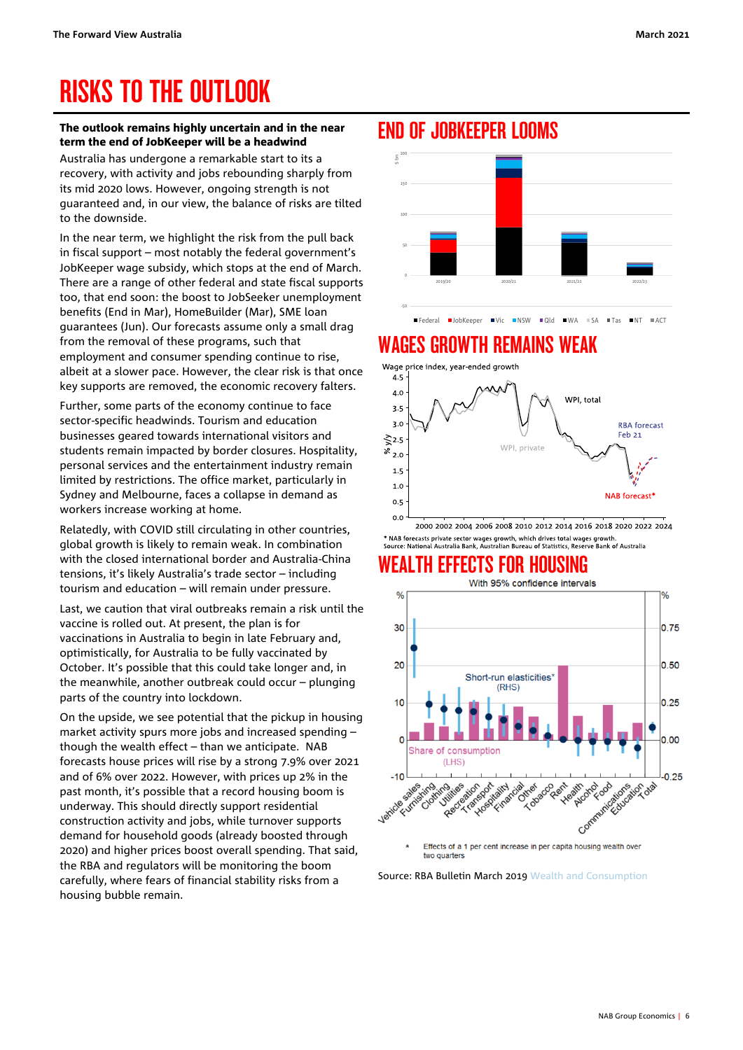# <span id="page-5-0"></span>RISKS TO THE OUTLOOK

#### The outlook remains highly uncertain and in the near term the end of JobKeeper will be a headwind

Australia has undergone a remarkable start to its a recovery, with activity and jobs rebounding sharply from its mid 2020 lows. However, ongoing strength is not guaranteed and, in our view, the balance of risks are tilted to the downside.

In the near term, we highlight the risk from the pull back in fiscal support – most notably the federal government's JobKeeper wage subsidy, which stops at the end of March. There are a range of other federal and state fiscal supports too, that end soon: the boost to JobSeeker unemployment benefits (End in Mar), HomeBuilder (Mar), SME loan guarantees (Jun). Our forecasts assume only a small drag from the removal of these programs, such that employment and consumer spending continue to rise, albeit at a slower pace. However, the clear risk is that once key supports are removed, the economic recovery falters.

Further, some parts of the economy continue to face sector-specific headwinds. Tourism and education businesses geared towards international visitors and students remain impacted by border closures. Hospitality, personal services and the entertainment industry remain limited by restrictions. The office market, particularly in Sydney and Melbourne, faces a collapse in demand as workers increase working at home.

Relatedly, with COVID still circulating in other countries, global growth is likely to remain weak. In combination with the closed international border and Australia-China tensions, it's likely Australia's trade sector – including tourism and education – will remain under pressure.

Last, we caution that viral outbreaks remain a risk until the vaccine is rolled out. At present, the plan is for vaccinations in Australia to begin in late February and, optimistically, for Australia to be fully vaccinated by October. It's possible that this could take longer and, in the meanwhile, another outbreak could occur – plunging parts of the country into lockdown.

On the upside, we see potential that the pickup in housing market activity spurs more jobs and increased spending – though the wealth effect – than we anticipate. NAB forecasts house prices will rise by a strong 7.9% over 2021 and of 6% over 2022. However, with prices up 2% in the past month, it's possible that a record housing boom is underway. This should directly support residential construction activity and jobs, while turnover supports demand for household goods (already boosted through 2020) and higher prices boost overall spending. That said, the RBA and regulators will be monitoring the boom carefully, where fears of financial stability risks from a housing bubble remain.

### END OF JOBKEEPER LOOMS



Federal JobKeeper Vic NSW Qld WA SA Tas NT ACT

### **GROWTH REMAINS WEAK**



2000 2002 2004 2006 2008 2010 2012 2014 2016 2018 2020 2022 2024 \* NAB forecasts private sector wages growth, which drives total wages growth.<br>Source: National Australia Bank, Australian Bureau of Statistics, Reserve Bank of Australia

## **WEALTH EFFECTS FOR HOUSING**<br>With 95% confidence intervals



two quarters

Source: RBA Bulletin March 2019 [Wealth and Consumption](https://www.rba.gov.au/publications/bulletin/2019/mar/wealth-and-consumption.html)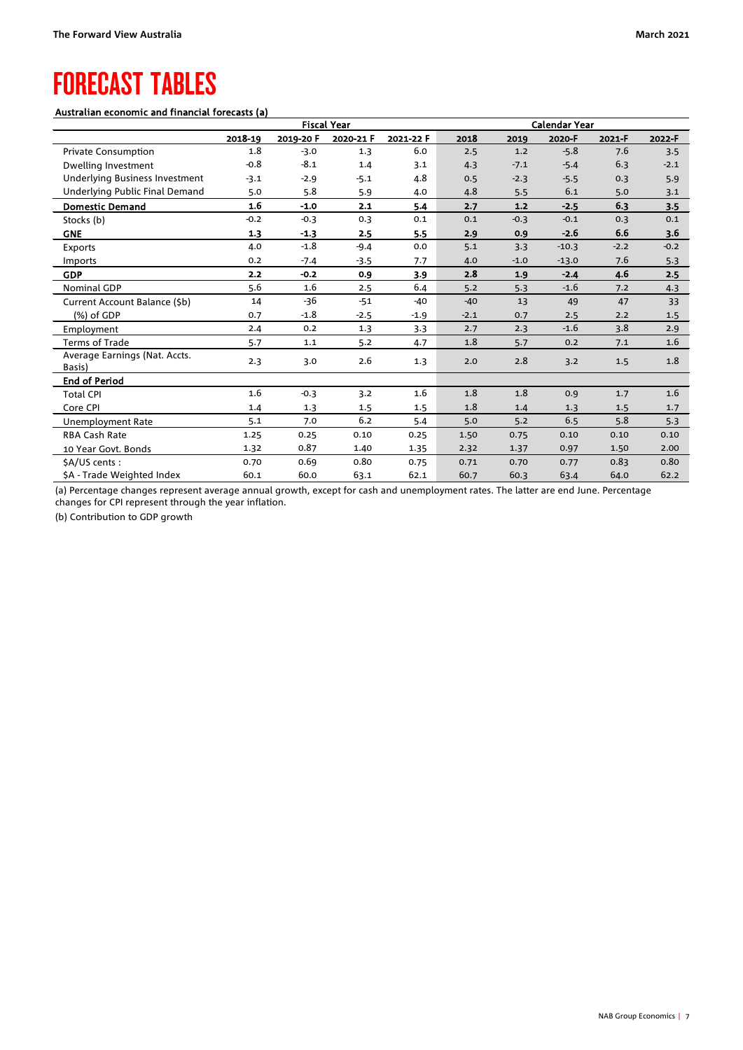## <span id="page-6-0"></span>FORECAST TABLES

#### Australian economic and financial forecasts (a)

|                                         | <b>Fiscal Year</b> |           |           | <b>Calendar Year</b> |        |        |         |        |        |
|-----------------------------------------|--------------------|-----------|-----------|----------------------|--------|--------|---------|--------|--------|
|                                         | 2018-19            | 2019-20 F | 2020-21 F | 2021-22 F            | 2018   | 2019   | 2020-F  | 2021-F | 2022-F |
| <b>Private Consumption</b>              | 1.8                | $-3.0$    | 1.3       | 6.0                  | 2.5    | 1.2    | $-5.8$  | 7.6    | 3.5    |
| Dwelling Investment                     | $-0.8$             | $-8.1$    | 1.4       | 3.1                  | 4.3    | $-7.1$ | $-5.4$  | 6.3    | $-2.1$ |
| Underlying Business Investment          | $-3.1$             | $-2.9$    | $-5.1$    | 4.8                  | 0.5    | $-2.3$ | $-5.5$  | 0.3    | 5.9    |
| Underlying Public Final Demand          | 5.0                | 5.8       | 5.9       | 4.0                  | 4.8    | 5.5    | 6.1     | 5.0    | 3.1    |
| <b>Domestic Demand</b>                  | 1.6                | $-1.0$    | 2.1       | 5.4                  | 2.7    | $1.2$  | $-2.5$  | 6.3    | 3.5    |
| Stocks (b)                              | $-0.2$             | $-0.3$    | 0.3       | 0.1                  | 0.1    | $-0.3$ | $-0.1$  | 0.3    | 0.1    |
| <b>GNE</b>                              | 1.3                | $-1.3$    | 2.5       | 5.5                  | 2.9    | 0.9    | $-2.6$  | 6.6    | 3.6    |
| Exports                                 | 4.0                | $-1.8$    | $-9.4$    | 0.0                  | 5.1    | 3.3    | $-10.3$ | $-2.2$ | $-0.2$ |
| Imports                                 | 0.2                | $-7.4$    | $-3.5$    | 7.7                  | 4.0    | $-1.0$ | $-13.0$ | 7.6    | 5.3    |
| <b>GDP</b>                              | 2.2                | $-0.2$    | 0.9       | 3.9                  | 2.8    | 1.9    | $-2.4$  | 4.6    | 2.5    |
| <b>Nominal GDP</b>                      | 5.6                | 1.6       | 2.5       | 6.4                  | 5.2    | 5.3    | $-1.6$  | 7.2    | 4.3    |
| Current Account Balance (\$b)           | 14                 | -36       | $-51$     | $-40$                | $-40$  | 13     | 49      | 47     | 33     |
| (%) of GDP                              | 0.7                | $-1.8$    | $-2.5$    | $-1.9$               | $-2.1$ | 0.7    | 2.5     | 2.2    | 1.5    |
| Employment                              | 2.4                | 0.2       | 1.3       | 3.3                  | 2.7    | 2.3    | $-1.6$  | 3.8    | 2.9    |
| Terms of Trade                          | 5.7                | 1.1       | 5.2       | 4.7                  | 1.8    | 5.7    | 0.2     | 7.1    | 1.6    |
| Average Earnings (Nat. Accts.<br>Basis) | 2.3                | 3.0       | 2.6       | 1.3                  | 2.0    | 2.8    | 3.2     | 1.5    | 1.8    |
| <b>End of Period</b>                    |                    |           |           |                      |        |        |         |        |        |
| <b>Total CPI</b>                        | 1.6                | $-0.3$    | 3.2       | 1.6                  | 1.8    | 1.8    | 0.9     | 1.7    | 1.6    |
| Core CPI                                | 1.4                | 1.3       | 1.5       | 1.5                  | 1.8    | 1.4    | 1.3     | 1.5    | 1.7    |
| Unemployment Rate                       | 5.1                | 7.0       | 6.2       | 5.4                  | 5.0    | 5.2    | 6.5     | 5.8    | 5.3    |
| <b>RBA Cash Rate</b>                    | 1.25               | 0.25      | 0.10      | 0.25                 | 1.50   | 0.75   | 0.10    | 0.10   | 0.10   |
| 10 Year Govt. Bonds                     | 1.32               | 0.87      | 1.40      | 1.35                 | 2.32   | 1.37   | 0.97    | 1.50   | 2.00   |
| \$A/US cents:                           | 0.70               | 0.69      | 0.80      | 0.75                 | 0.71   | 0.70   | 0.77    | 0.83   | 0.80   |
| \$A - Trade Weighted Index              | 60.1               | 60.0      | 63.1      | 62.1                 | 60.7   | 60.3   | 63.4    | 64.0   | 62.2   |

(a) Percentage changes represent average annual growth, except for cash and unemployment rates. The latter are end June. Percentage changes for CPI represent through the year inflation.

(b) Contribution to GDP growth